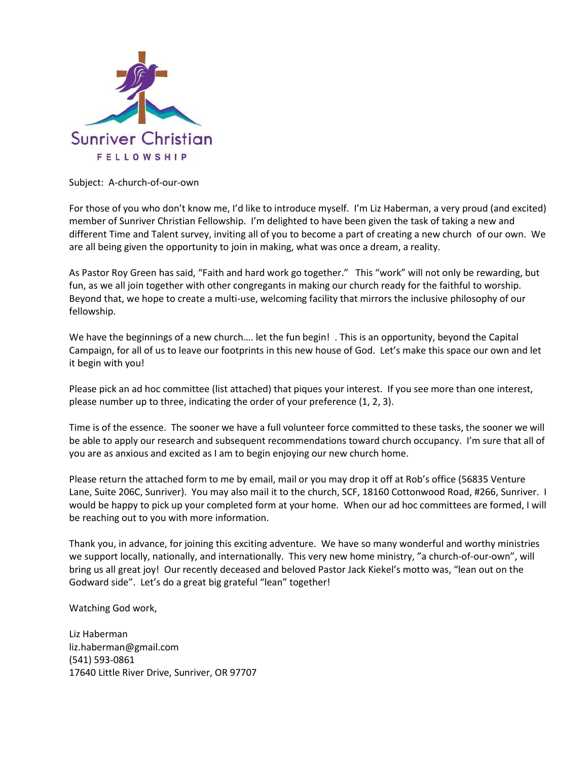

Subject: A-church-of-our-own

For those of you who don't know me, I'd like to introduce myself. I'm Liz Haberman, a very proud (and excited) member of Sunriver Christian Fellowship. I'm delighted to have been given the task of taking a new and different Time and Talent survey, inviting all of you to become a part of creating a new church of our own. We are all being given the opportunity to join in making, what was once a dream, a reality.

As Pastor Roy Green has said, "Faith and hard work go together." This "work" will not only be rewarding, but fun, as we all join together with other congregants in making our church ready for the faithful to worship. Beyond that, we hope to create a multi-use, welcoming facility that mirrors the inclusive philosophy of our fellowship.

We have the beginnings of a new church…. let the fun begin! . This is an opportunity, beyond the Capital Campaign, for all of us to leave our footprints in this new house of God. Let's make this space our own and let it begin with you!

Please pick an ad hoc committee (list attached) that piques your interest. If you see more than one interest, please number up to three, indicating the order of your preference (1, 2, 3).

Time is of the essence. The sooner we have a full volunteer force committed to these tasks, the sooner we will be able to apply our research and subsequent recommendations toward church occupancy. I'm sure that all of you are as anxious and excited as I am to begin enjoying our new church home.

Please return the attached form to me by email, mail or you may drop it off at Rob's office (56835 Venture Lane, Suite 206C, Sunriver). You may also mail it to the church, SCF, 18160 Cottonwood Road, #266, Sunriver. I would be happy to pick up your completed form at your home. When our ad hoc committees are formed, I will be reaching out to you with more information.

Thank you, in advance, for joining this exciting adventure. We have so many wonderful and worthy ministries we support locally, nationally, and internationally. This very new home ministry, "a church-of-our-own", will bring us all great joy! Our recently deceased and beloved Pastor Jack Kiekel's motto was, "lean out on the Godward side". Let's do a great big grateful "lean" together!

Watching God work,

Liz Haberman liz.haberman@gmail.com (541) 593-0861 17640 Little River Drive, Sunriver, OR 97707